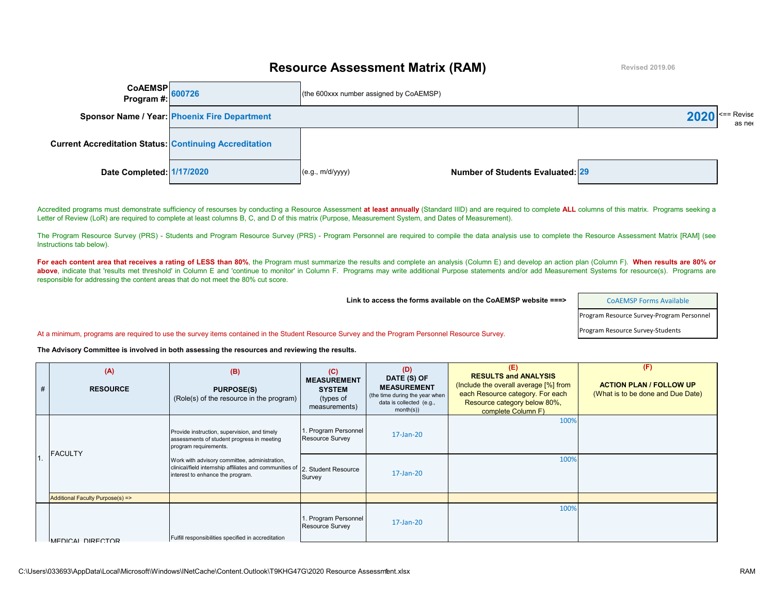## **Resource Assessment Matrix (RAM)**

**Revised 2019.06**

| CoAEMSP<br>Program #: 600726                                  |                                              | (the 600xxx number assigned by CoAEMSP)              |      |                                       |
|---------------------------------------------------------------|----------------------------------------------|------------------------------------------------------|------|---------------------------------------|
|                                                               | Sponsor Name / Year: Phoenix Fire Department |                                                      | 2020 | $\left  \right $ <== Revise<br>as nee |
| <b>Current Accreditation Status: Continuing Accreditation</b> |                                              |                                                      |      |                                       |
| Date Completed: 1/17/2020                                     |                                              | Number of Students Evaluated: 29<br>(e.g., m/d/yyyy) |      |                                       |

Accredited programs must demonstrate sufficiency of resourses by conducting a Resource Assessment at least annually (Standard IIID) and are required to complete ALL columns of this matrix. Programs seeking a Letter of Review (LoR) are required to complete at least columns B, C, and D of this matrix (Purpose, Measurement System, and Dates of Measurement).

The Program Resource Survey (PRS) - Students and Program Resource Survey (PRS) - Program Personnel are required to compile the data analysis use to complete the Resource Assessment Matrix [RAM] (see Instructions tab below).

For each content area that receives a rating of LESS than 80%, the Program must summarize the results and complete an analysis (Column E) and develop an action plan (Column F). When results are 80% or above, indicate that 'results met threshold' in Column E and 'continue to monitor' in Column F. Programs may write additional Purpose statements and/or add Measurement Systems for resource(s). Programs are responsible for addressing the content areas that do not meet the 80% cut score.

**Link to access the forms available on the CoAEMSP website ===>** 

[CoAEMSP Forms Available](https://coaemsp.org/Forms.htm) Program Resource Survey-Program Personnel

At a minimum, programs are required to use the survey items contained in the Student Resource Survey and the Program Personnel Resource Survey. Program Resource Survey-Students

**The Advisory Committee is involved in both assessing the resources and reviewing the results.**

| # | (A)<br><b>RESOURCE</b>                                                                                                                                                                                                                                                                | (B)<br><b>PURPOSE(S)</b><br>(Role(s) of the resource in the program) | (C)<br><b>MEASUREMENT</b><br><b>SYSTEM</b><br>(types of<br>measurements) | (D)<br>DATE (S) OF<br><b>MEASUREMENT</b><br>(the time during the year when<br>data is collected (e.g.,<br>month(s) | (E)<br><b>RESULTS and ANALYSIS</b><br>(Include the overall average [%] from<br>each Resource category. For each<br>Resource category below 80%,<br>complete Column F) | (F)<br><b>ACTION PLAN / FOLLOW UP</b><br>(What is to be done and Due Date) |
|---|---------------------------------------------------------------------------------------------------------------------------------------------------------------------------------------------------------------------------------------------------------------------------------------|----------------------------------------------------------------------|--------------------------------------------------------------------------|--------------------------------------------------------------------------------------------------------------------|-----------------------------------------------------------------------------------------------------------------------------------------------------------------------|----------------------------------------------------------------------------|
|   | Provide instruction, supervision, and timely<br>assessments of student progress in meeting<br>program requirements.<br><b>FACULTY</b><br>Work with advisory committee, administration,<br>clinical/field internship affiliates and communities of<br>interest to enhance the program. |                                                                      | 1. Program Personnel<br><b>Resource Survey</b>                           | 17-Jan-20                                                                                                          | 100%                                                                                                                                                                  |                                                                            |
|   |                                                                                                                                                                                                                                                                                       | 2. Student Resource<br>Survey                                        | 17-Jan-20                                                                | 100%                                                                                                               |                                                                                                                                                                       |                                                                            |
|   | Additional Faculty Purpose(s) =>                                                                                                                                                                                                                                                      |                                                                      |                                                                          |                                                                                                                    |                                                                                                                                                                       |                                                                            |
|   | MEDICAL DIRECTOR                                                                                                                                                                                                                                                                      | Fulfill responsibilities specified in accreditation                  | 1. Program Personnel<br>Resource Survey                                  | 17-Jan-20                                                                                                          | 100%                                                                                                                                                                  |                                                                            |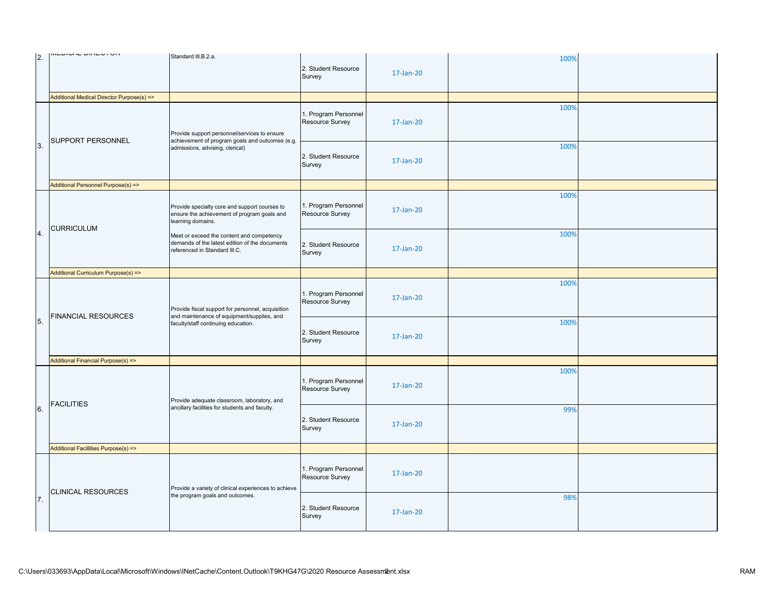|                | <b>WILDIVAL DINLYTVIN</b>                                                                                                                                            |                                                                                                                                    |                                         |           |      |  |
|----------------|----------------------------------------------------------------------------------------------------------------------------------------------------------------------|------------------------------------------------------------------------------------------------------------------------------------|-----------------------------------------|-----------|------|--|
| <sup>2.</sup>  |                                                                                                                                                                      | Standard III.B.2.a.                                                                                                                | 2. Student Resource<br>Survey           | 17-Jan-20 | 100% |  |
|                | Additional Medical Director Purpose(s) =>                                                                                                                            |                                                                                                                                    |                                         |           |      |  |
| 3.             | SUPPORT PERSONNEL                                                                                                                                                    | Provide support personnel/services to ensure<br>achievement of program goals and outcomes (e.g.<br>admissions, advising, clerical) | 1. Program Personnel<br>Resource Survey | 17-Jan-20 | 100% |  |
|                |                                                                                                                                                                      |                                                                                                                                    | 2. Student Resource<br>Survey           | 17-Jan-20 | 100% |  |
|                | Additional Personnel Purpose(s) =>                                                                                                                                   |                                                                                                                                    |                                         |           |      |  |
| $\overline{4}$ | learning domains.<br><b>CURRICULUM</b>                                                                                                                               | Provide specialty core and support courses to<br>ensure the achievement of program goals and                                       | 1. Program Personnel<br>Resource Survey | 17-Jan-20 | 100% |  |
|                |                                                                                                                                                                      | Meet or exceed the content and competency<br>demands of the latest edition of the documents<br>referenced in Standard III.C.       | 2. Student Resource<br>Survey           | 17-Jan-20 | 100% |  |
|                | Additional Curriculum Purpose(s) =>                                                                                                                                  |                                                                                                                                    |                                         |           |      |  |
| 5.             | Provide fiscal support for personnel, acquisition<br><b>FINANCIAL RESOURCES</b><br>and maintenance of equipment/supplies, and<br>faculty/staff continuing education. |                                                                                                                                    | 1. Program Personnel<br>Resource Survey | 17-Jan-20 | 100% |  |
|                |                                                                                                                                                                      | 2. Student Resource<br>Survey                                                                                                      | 17-Jan-20                               | 100%      |      |  |
|                | Additional Financial Purpose(s) =>                                                                                                                                   |                                                                                                                                    |                                         |           |      |  |
| 6.             | <b>FACILITIES</b>                                                                                                                                                    | Provide adequate classroom, laboratory, and                                                                                        | 1. Program Personnel<br>Resource Survey | 17-Jan-20 | 100% |  |
|                |                                                                                                                                                                      | ancillary facilities for students and faculty.                                                                                     | 2. Student Resource<br>Survey           | 17-Jan-20 | 99%  |  |
|                | Additional Facillities Purpose(s) =>                                                                                                                                 |                                                                                                                                    |                                         |           |      |  |
| 7.             | <b>CLINICAL RESOURCES</b>                                                                                                                                            | Provide a variety of clinical experiences to achieve                                                                               | 1. Program Personnel<br>Resource Survey | 17-Jan-20 |      |  |
|                |                                                                                                                                                                      | the program goals and outcomes.                                                                                                    | 2. Student Resource<br>Survey           | 17-Jan-20 | 98%  |  |